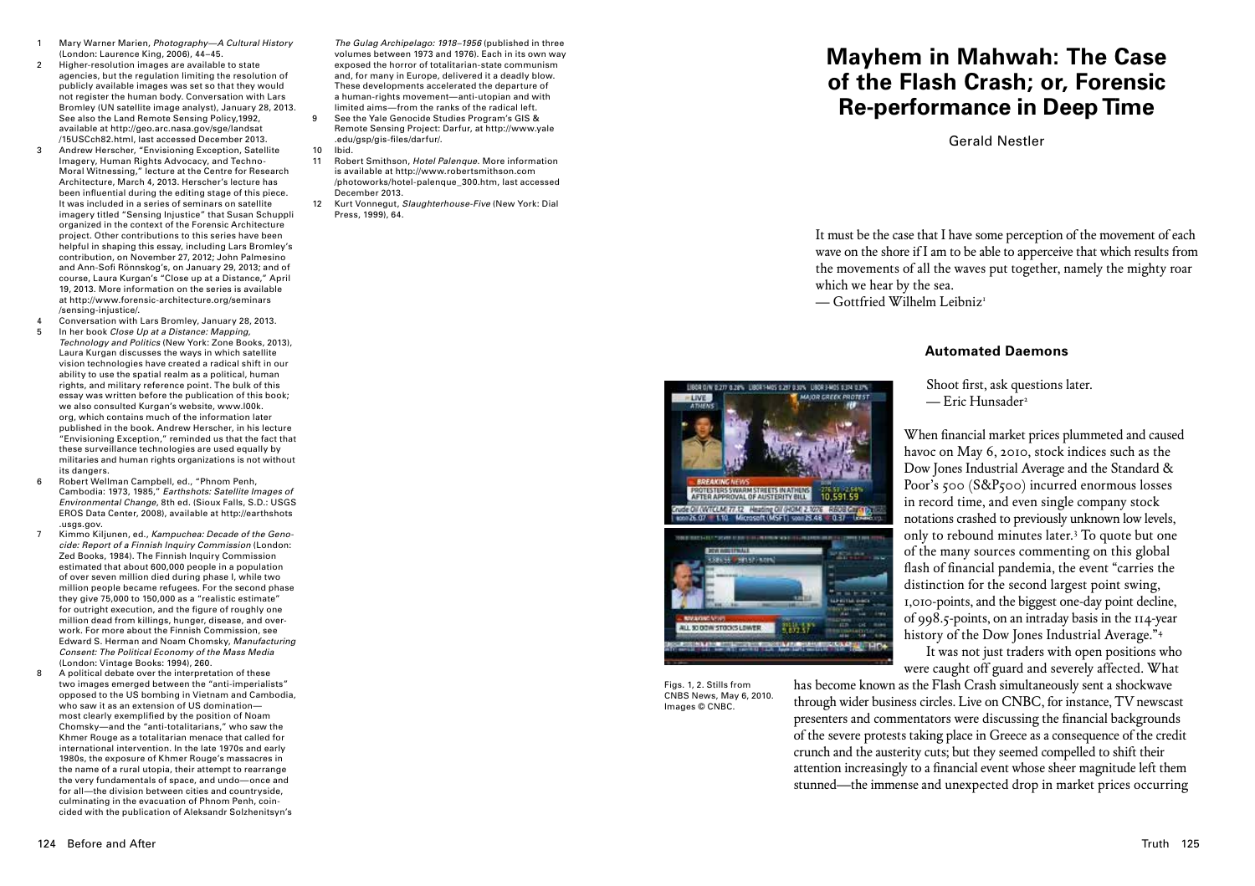- 1 Mary Warner Marien, *Photography—A Cultural History* (London: Laurence King, 2006), 44–45.
- Higher-resolution images are available to state agencies, but the regulation limiting the resolution of publicly available images was set so that they would not register the human body. Conversation with Lars Bromley (UN satellite image analyst), January 28, 2013. See also the Land Remote Sensing Policy,1992, available at http://geo.arc.nasa.gov/sge/landsat /15USCch82.html, last accessed December 2013.
- 3 Andrew Herscher, "Envisioning Exception, Satellite Imagery, Human Rights Advocacy, and Techno-Moral Witnessing," lecture at the Centre for Research Architecture, March 4, 2013. Herscher's lecture has been influential during the editing stage of this piece. It was included in a series of seminars on satellite imagery titled "Sensing Injustice" that Susan Schuppli organized in the context of the Forensic Architecture project. Other contributions to this series have been helpful in shaping this essay, including Lars Bromley's contribution, on November 27, 2012; John Palmesino and Ann-Sofi Rönnskog's, on January 29, 2013; and of course, Laura Kurgan's "Close up at a Distance," April 19, 2013. More information on the series is available at http://www.forensic-architecture.org/seminars /sensing-injustice/.
- 4 Conversation with Lars Bromley, January 28, 2013.<br>5 In her book Close Un at a Distance: Manning
- 5 In her book *Close Up at a Distance: Mapping, Technology and Politics* (New York: Zone Books, 2013), Laura Kurgan discusses the ways in which satellite vision technologies have created a radical shift in our ability to use the spatial realm as a political, human rights, and military reference point. The bulk of this essay was written before the publication of this book; we also consulted Kurgan's website, www.l00k. org, which contains much of the information later published in the book. Andrew Herscher, in his lecture "Envisioning Exception," reminded us that the fact that these surveillance technologies are used equally by militaries and human rights organizations is not without its dangers.
- 6 Robert Wellman Campbell, ed., "Phnom Penh, Cambodia: 1973, 1985," *Earthshots: Satellite Images of Environmental Change*, 8th ed. (Sioux Falls, S.D.: USGS EROS Data Center, 2008), available at http://earthshots .usgs.gov.
- 7 Kimmo Kiljunen, ed., *Kampuchea: Decade of the Genocide: Report of a Finnish Inquiry Commission* (London: Zed Books, 1984). The Finnish Inquiry Commission estimated that about 600,000 people in a population of over seven million died during phase I, while two million people became refugees. For the second phase they give 75,000 to 150,000 as a "realistic estimate" for outright execution, and the figure of roughly one million dead from killings, hunger, disease, and overwork. For more about the Finnish Commission, see Edward S. Herman and Noam Chomsky, *Manufacturing Consent: The Political Economy of the Mass Media* (London: Vintage Books: 1994), 260.
- 8 A political debate over the interpretation of these two images emerged between the "anti-imperialists" opposed to the US bombing in Vietnam and Cambodia, who saw it as an extension of US domination most clearly exemplified by the position of Noam Chomsky—and the "anti-totalitarians," who saw the Khmer Rouge as a totalitarian menace that called for international intervention. In the late 1970s and early 1980s, the exposure of Khmer Rouge's massacres in the name of a rural utopia, their attempt to rearrange the very fundamentals of space, and undo—once and for all—the division between cities and countryside, culminating in the evacuation of Phnom Penh, coincided with the publication of Aleksandr Solzhenitsyn's

*The Gulag Archipelago: 1918–1956* (published in three volumes between 1973 and 1976). Each in its own way exposed the horror of totalitarian-state communism and, for many in Europe, delivered it a deadly blow. These developments accelerated the departure of a human-rights movement—anti-utopian and with limited aims—from the ranks of the radical left.

- 9 See the Yale Genocide Studies Program's GIS & Remote Sensing Project: Darfur, at http://www.yale .edu/gsp/gis-files/darfur/.
- 10 Ibid.<br>11 Bobe
- 11 Robert Smithson, *Hotel Palenque*. More information is available at http://www.robertsmithson.com /photoworks/hotel-palenque\_300.htm, last accessed December 2013.
- 12 Kurt Vonnegut, *Slaughterhouse-Five* (New York: Dial Press, 1999), 64.

# **Mayhem in Mahwah: The Case of the Flash Crash; or, Forensic Re-performance in Deep Time**

Gerald Nestler

It must be the case that I have some perception of the movement of each wave on the shore if I am to be able to apperceive that which results from the movements of all the waves put together, namely the mighty roar which we hear by the sea.

 $-$  Gottfried Wilhelm Leibniz<sup>1</sup>



Figs. 1, 2. Stills from CNBS News, May 6, 2010. Images © CNBC.

## **Automated Daemons**

Shoot first, ask questions later. — Eric Hunsader2

When financial market prices plummeted and caused havoc on May 6, 2010, stock indices such as the Dow Jones Industrial Average and the Standard & Poor's 500 (S&P500) incurred enormous losses in record time, and even single company stock notations crashed to previously unknown low levels, only to rebound minutes later.3 To quote but one of the many sources commenting on this global flash of financial pandemia, the event "carries the distinction for the second largest point swing, 1,010-points, and the biggest one-day point decline, of 998.5-points, on an intraday basis in the 114-year history of the Dow Jones Industrial Average."4

It was not just traders with open positions who were caught off guard and severely affected. What

has become known as the Flash Crash simultaneously sent a shockwave through wider business circles. Live on CNBC, for instance, TV newscast presenters and commentators were discussing the financial backgrounds of the severe protests taking place in Greece as a consequence of the credit crunch and the austerity cuts; but they seemed compelled to shift their attention increasingly to a financial event whose sheer magnitude left them stunned—the immense and unexpected drop in market prices occurring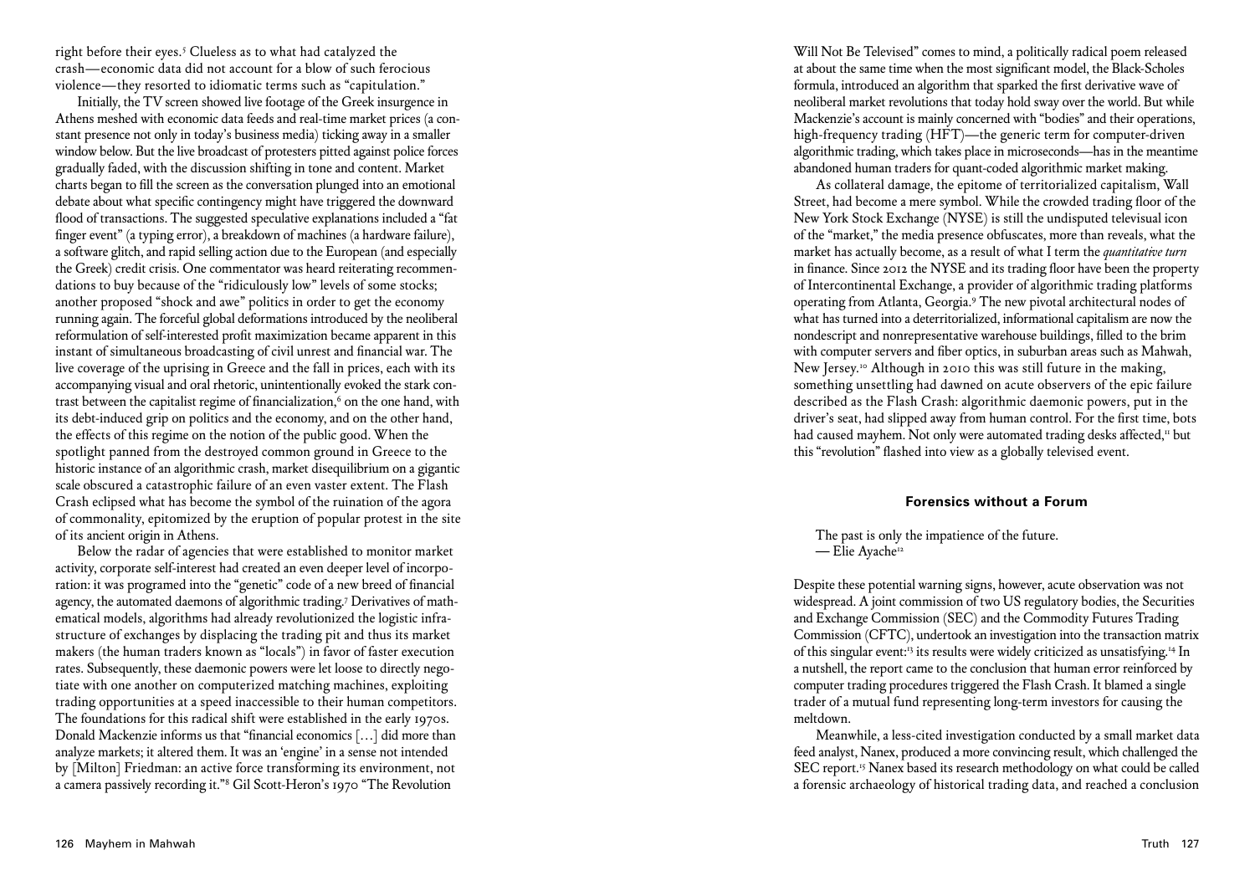right before their eyes. 5 Clueless as to what had catalyzed the crash —economic data did not account for a blow of such ferocious violence —they resorted to idiomatic terms such as "capitulation."

Initially, the TV screen showed live footage of the Greek insurgence in Athens meshed with economic data feeds and real-time market prices (a con stant presence not only in today's business media) ticking away in a smaller window below. But the live broadcast of protesters pitted against police forces gradually faded, with the discussion shifting in tone and content. Market charts began to fill the screen as the conversation plunged into an emotional debate about what specific contingency might have triggered the downward flood of transactions. The suggested speculative explanations included a "fat finger event" (a typing error), a breakdown of machines (a hardware failure), a software glitch, and rapid selling action due to the European (and especially the Greek) credit crisis. One commentator was heard reiterating recommen dations to buy because of the "ridiculously low" levels of some stocks; another proposed "shock and awe" politics in order to get the economy running again. The forceful global deformations introduced by the neoliberal reformulation of self-interested profit maximization became apparent in this instant of simultaneous broadcasting of civil unrest and financial war. The live coverage of the uprising in Greece and the fall in prices, each with its accompanying visual and oral rhetoric, unintentionally evoked the stark con trast between the capitalist regime of financialization, 6 on the one hand, with its debt-induced grip on politics and the economy, and on the other hand, the effects of this regime on the notion of the public good. When the spotlight panned from the destroyed common ground in Greece to the historic instance of an algorithmic crash, market disequilibrium on a gigantic scale obscured a catastrophic failure of an even vaster extent. The Flash Crash eclipsed what has become the symbol of the ruination of the agora of commonality, epitomized by the eruption of popular protest in the site of its ancient origin in Athens.

Below the radar of agencies that were established to monitor market activity, corporate self-interest had created an even deeper level of incorpo ration: it was programed into the "genetic" code of a new breed of financial agency, the automated daemons of algorithmic trading. 7 Derivatives of math ematical models, algorithms had already revolutionized the logistic infra structure of exchanges by displacing the trading pit and thus its market makers (the human traders known as "locals") in favor of faster execution rates. Subsequently, these daemonic powers were let loose to directly nego tiate with one another on computerized matching machines, exploiting trading opportunities at a speed inaccessible to their human competitors. The foundations for this radical shift were established in the early 1970s. Donald Mackenzie informs us that "financial economics […] did more than analyze markets; it altered them. It was an 'engine' in a sense not intended by [Milton] Friedman: an active force transforming its environment, not a camera passively recording it." 8 Gil Scott-Heron's 1970 "The Revolution

Will Not Be Televised" comes to mind, a politically radical poem released at about the same time when the most significant model, the Black-Scholes formula, introduced an algorithm that sparked the first derivative wave of neoliberal market revolutions that today hold sway over the world. But while Mackenzie's account is mainly concerned with "bodies" and their operations, high-frequency trading (HFT)—the generic term for computer-driven algorithmic trading, which takes place in microseconds—has in the meantime abandoned human traders for quant-coded algorithmic market making.

As collateral damage, the epitome of territorialized capitalism, Wall Street, had become a mere symbol. While the crowded trading floor of the New York Stock Exchange (NYSE) is still the undisputed televisual icon of the "market," the media presence obfuscates, more than reveals, what the market has actually become, as a result of what I term the *quantitative turn* in finance. Since 2012 the NYSE and its trading floor have been the property of Intercontinental Exchange, a provider of algorithmic trading platforms operating from Atlanta, Georgia. 9 The new pivotal architectural nodes of what has turned into a deterritorialized, informational capitalism are now the nondescript and nonrepresentative warehouse buildings, filled to the brim with computer servers and fiber optics, in suburban areas such as Mahwah, New Jersey.<sup>10</sup> Although in 2010 this was still future in the making, something unsettling had dawned on acute observers of the epic failure described as the Flash Crash: algorithmic daemonic powers, put in the driver's seat, had slipped away from human control. For the first time, bots had caused mayhem. Not only were automated trading desks affected,<sup>11</sup> but this "revolution" flashed into view as a globally televised event.

#### **Forensics without a Forum**

The past is only the impatience of the future. — Elie Ayache<sup>12</sup>

Despite these potential warning signs, however, acute observation was not widespread. A joint commission of two US regulatory bodies, the Securities and Exchange Commission (SEC) and the Commodity Futures Trading Commission (CFTC), undertook an investigation into the transaction matrix of this singular event:<sup>13</sup> its results were widely criticized as unsatisfying.<sup>14</sup> In a nutshell, the report came to the conclusion that human error reinforced by computer trading procedures triggered the Flash Crash. It blamed a single trader of a mutual fund representing long-term investors for causing the meltdown.

Meanwhile, a less-cited investigation conducted by a small market data feed analyst, Nanex, produced a more convincing result, which challenged the SEC report.<sup>15</sup> Nanex based its research methodology on what could be called a forensic archaeology of historical trading data, and reached a conclusion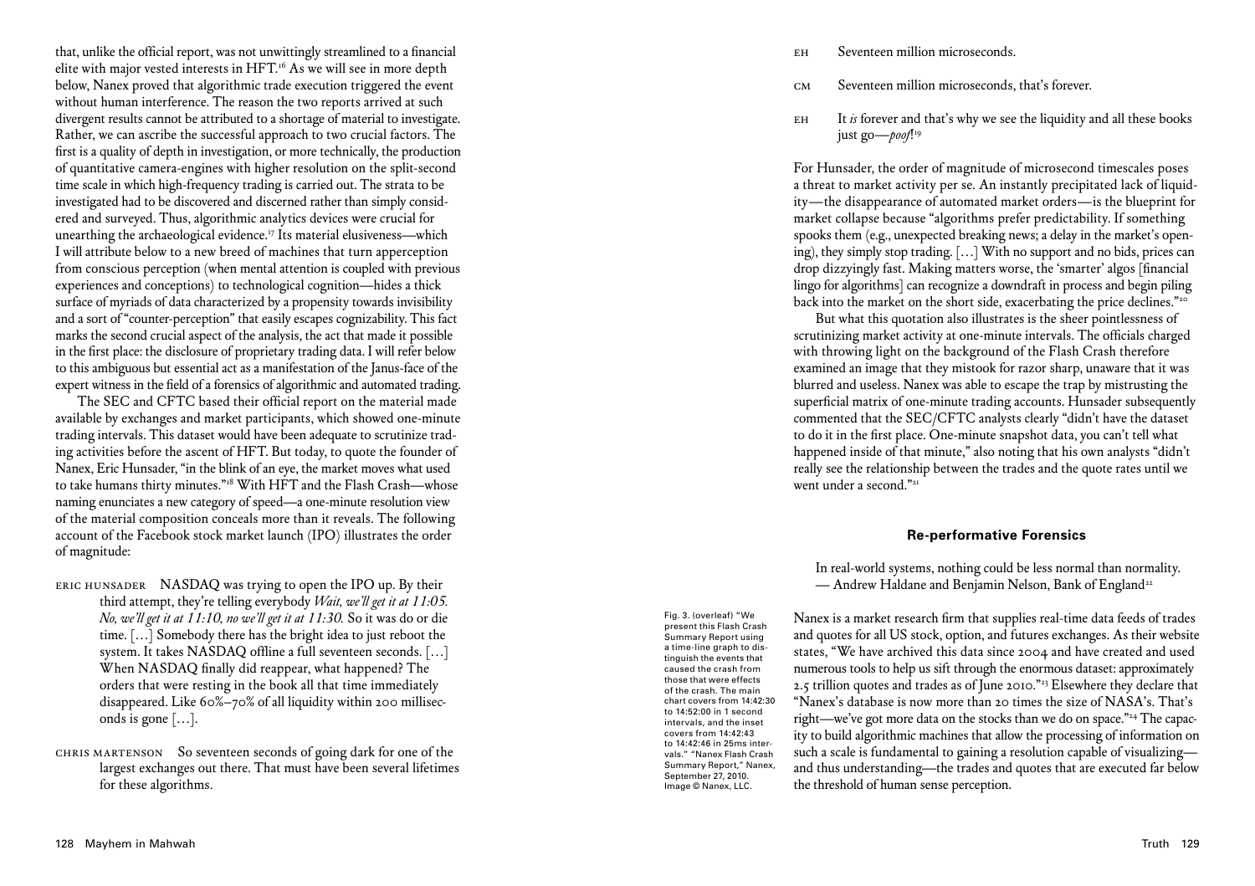that, unlike the official report, was not unwittingly streamlined to a financial elite with major vested interests in HFT.<sup>16</sup> As we will see in more depth below, Nanex proved that algorithmic trade execution triggered the event without human interference. The reason the two reports arrived at such divergent results cannot be attributed to a shortage of material to investigate. Rather, we can ascribe the successful approach to two crucial factors. The first is a quality of depth in investigation, or more technically, the production of quantitative camera-engines with higher resolution on the split-second time scale in which high-frequency trading is carried out. The strata to be investigated had to be discovered and discerned rather than simply considered and surveyed. Thus, algorithmic analytics devices were crucial for unearthing the archaeological evidence.<sup>17</sup> Its material elusiveness—which I will attribute below to a new breed of machines that turn apperception from conscious perception (when mental attention is coupled with previous experiences and conceptions) to technological cognition—hides a thick surface of myriads of data characterized by a propensity towards invisibility and a sort of "counter-perception" that easily escapes cognizability. This fact marks the second crucial aspect of the analysis, the act that made it possible in the first place: the disclosure of proprietary trading data. I will refer below to this ambiguous but essential act as a manifestation of the Janus-face of the expert witness in the field of a forensics of algorithmic and automated trading.

The SEC and CFTC based their official report on the material made available by exchanges and market participants, which showed one-minute trading intervals. This dataset would have been adequate to scrutinize trading activities before the ascent of HFT. But today, to quote the founder of Nanex, Eric Hunsader, "in the blink of an eye, the market moves what used to take humans thirty minutes."18 With HFT and the Flash Crash—whose naming enunciates a new category of speed—a one-minute resolution view of the material composition conceals more than it reveals. The following account of the Facebook stock market launch (IPO) illustrates the order of magnitude:

- eric hunsader NASDAQ was trying to open the IPO up. By their third attempt, they're telling everybody *Wait, we'll get it at 11:05. No, we'll get it at 11:10, no we'll get it at 11:30.* So it was do or die time. […] Somebody there has the bright idea to just reboot the system. It takes NASDAQ offline a full seventeen seconds. […] When NASDAQ finally did reappear, what happened? The orders that were resting in the book all that time immediately disappeared. Like 60%–70% of all liquidity within 200 milliseconds is gone […].
- chris martenson So seventeen seconds of going dark for one of the largest exchanges out there. That must have been several lifetimes for these algorithms.
- EH Seventeen million microseconds.
- cm Seventeen million microseconds, that's forever.
- eh It *is* forever and that's why we see the liquidity and all these books just go—*poof*! 19

For Hunsader, the order of magnitude of microsecond timescales poses a threat to market activity per se. An instantly precipitated lack of liquidity—the disappearance of automated market orders—is the blueprint for market collapse because "algorithms prefer predictability. If something spooks them (e.g., unexpected breaking news; a delay in the market's opening), they simply stop trading. […] With no support and no bids, prices can drop dizzyingly fast. Making matters worse, the 'smarter' algos [financial lingo for algorithms] can recognize a downdraft in process and begin piling back into the market on the short side, exacerbating the price declines."<sup>20</sup>

But what this quotation also illustrates is the sheer pointlessness of scrutinizing market activity at one-minute intervals. The officials charged with throwing light on the background of the Flash Crash therefore examined an image that they mistook for razor sharp, unaware that it was blurred and useless. Nanex was able to escape the trap by mistrusting the superficial matrix of one-minute trading accounts. Hunsader subsequently commented that the SEC/CFTC analysts clearly "didn't have the dataset to do it in the first place. One-minute snapshot data, you can't tell what happened inside of that minute," also noting that his own analysts "didn't really see the relationship between the trades and the quote rates until we went under a second."<sup>21</sup>

## **Re-performative Forensics**

In real-world systems, nothing could be less normal than normality. — Andrew Haldane and Benjamin Nelson, Bank of England<sup>22</sup>

Fig. 3. (overleaf) "We present this Flash Crash Summary Report using a time-line graph to distinguish the events that caused the crash from those that were effects of the crash. The main chart covers from 14:42:30 to 14:52:00 in 1 second intervals, and the inset covers from 14:42:43 to 14:42:46 in 25ms intervals." "Nanex Flash Crash Summary Report," Nanex, September 27, 2010. Image © Nanex, LLC.

Nanex is a market research firm that supplies real-time data feeds of trades and quotes for all US stock, option, and futures exchanges. As their website states, "We have archived this data since 2004 and have created and used numerous tools to help us sift through the enormous dataset: approximately 2.5 trillion quotes and trades as of June 2010."23 Elsewhere they declare that "Nanex's database is now more than 20 times the size of NASA's. That's right—we've got more data on the stocks than we do on space."24 The capacity to build algorithmic machines that allow the processing of information on such a scale is fundamental to gaining a resolution capable of visualizing and thus understanding—the trades and quotes that are executed far below the threshold of human sense perception.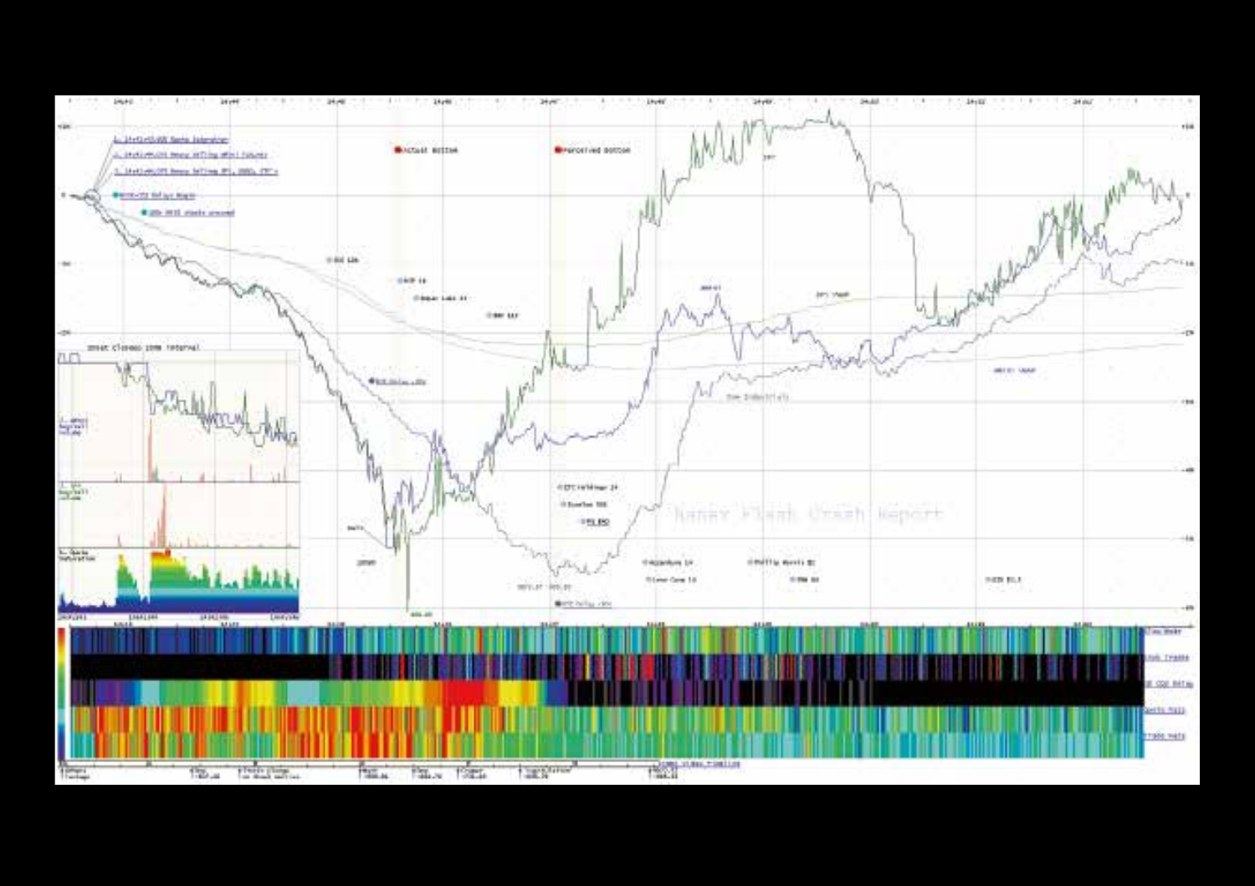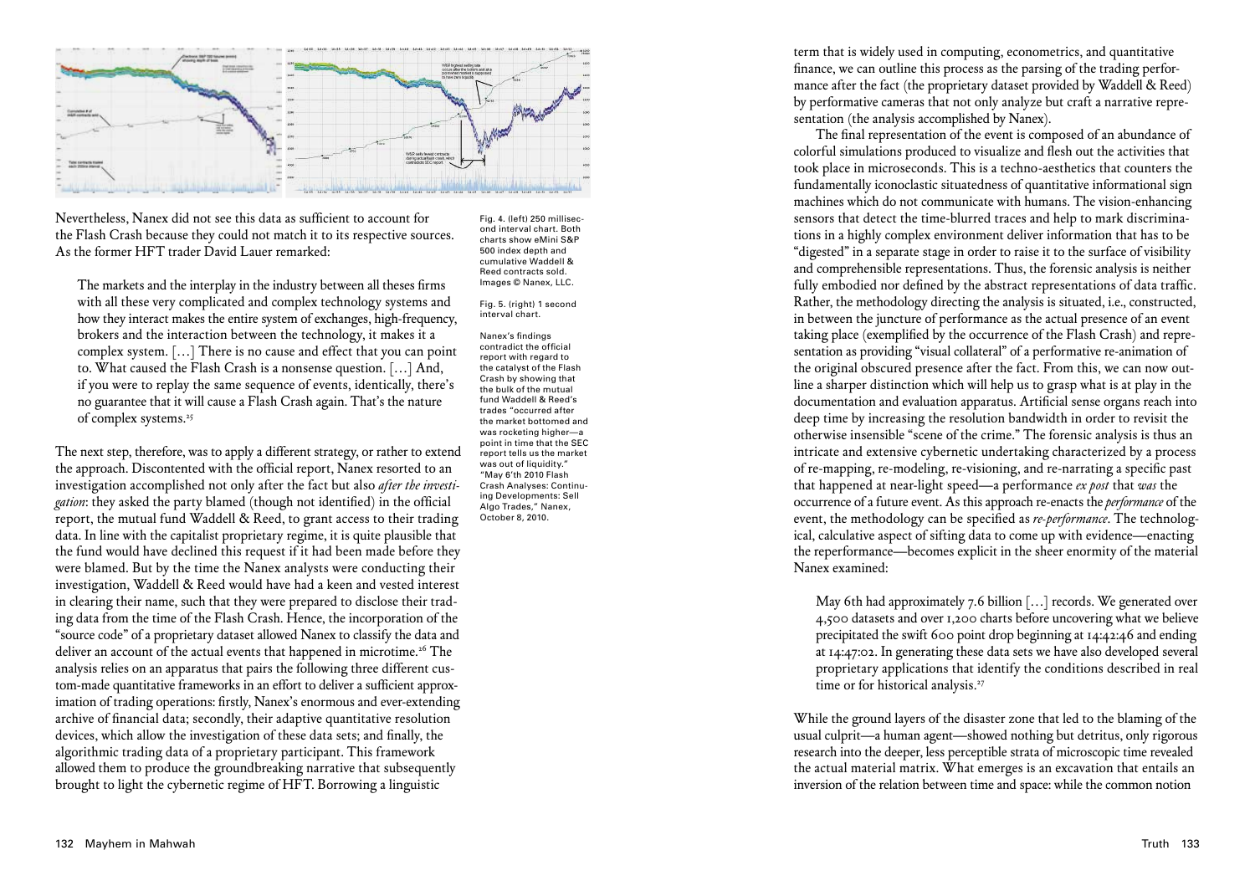

Nevertheless, Nanex did not see this data as sufficient to account for the Flash Crash because they could not match it to its respective sources. As the former HFT trader David Lauer remarked:

Fig. 4. (left) 250 millisecond interval chart. Both charts show eMini S&P 500 index depth and cumulative Waddell & Reed contracts sold. Images © Nanex, LLC.

The markets and the interplay in the industry between all theses firms with all these very complicated and complex technology systems and how they interact makes the entire system of exchanges, high-frequency, brokers and the interaction between the technology, it makes it a complex system. […] There is no cause and effect that you can point to. What caused the Flash Crash is a nonsense question. […] And, if you were to replay the same sequence of events, identically, there's no guarantee that it will cause a Flash Crash again. That's the nature of complex systems.<sup>25</sup>

The next step, therefore, was to apply a different strategy, or rather to extend the approach. Discontented with the official report, Nanex resorted to an investigation accomplished not only after the fact but also *after the investigation*: they asked the party blamed (though not identified) in the official report, the mutual fund Waddell & Reed, to grant access to their trading data. In line with the capitalist proprietary regime, it is quite plausible that the fund would have declined this request if it had been made before they were blamed. But by the time the Nanex analysts were conducting their investigation, Waddell & Reed would have had a keen and vested interest in clearing their name, such that they were prepared to disclose their trading data from the time of the Flash Crash. Hence, the incorporation of the "source code" of a proprietary dataset allowed Nanex to classify the data and deliver an account of the actual events that happened in microtime.<sup>26</sup> The analysis relies on an apparatus that pairs the following three different custom-made quantitative frameworks in an effort to deliver a sufficient approximation of trading operations: firstly, Nanex's enormous and ever-extending archive of financial data; secondly, their adaptive quantitative resolution devices, which allow the investigation of these data sets; and finally, the algorithmic trading data of a proprietary participant. This framework allowed them to produce the groundbreaking narrative that subsequently brought to light the cybernetic regime of HFT. Borrowing a linguistic

Fig. 5. (right) 1 second interval chart.

Nanex's findings contradict the official report with regard to the catalyst of the Flash Crash by showing that the bulk of the mutual fund Waddell & Reed's trades "occurred after the market bottomed and was rocketing higher—a point in time that the SEC report tells us the market was out of liquidity." "May 6'th 2010 Flash Crash Analyses: Continuing Developments: Sell Algo Trades," Nanex, October 8, 2010.

term that is widely used in computing, econometrics, and quantitative finance, we can outline this process as the parsing of the trading performance after the fact (the proprietary dataset provided by Waddell & Reed) by performative cameras that not only analyze but craft a narrative representation (the analysis accomplished by Nanex).

The final representation of the event is composed of an abundance of colorful simulations produced to visualize and flesh out the activities that took place in microseconds. This is a techno-aesthetics that counters the fundamentally iconoclastic situatedness of quantitative informational sign machines which do not communicate with humans. The vision-enhancing sensors that detect the time-blurred traces and help to mark discriminations in a highly complex environment deliver information that has to be "digested" in a separate stage in order to raise it to the surface of visibility and comprehensible representations. Thus, the forensic analysis is neither fully embodied nor defined by the abstract representations of data traffic. Rather, the methodology directing the analysis is situated, i.e., constructed, in between the juncture of performance as the actual presence of an event taking place (exemplified by the occurrence of the Flash Crash) and representation as providing "visual collateral" of a performative re-animation of the original obscured presence after the fact. From this, we can now outline a sharper distinction which will help us to grasp what is at play in the documentation and evaluation apparatus. Artificial sense organs reach into deep time by increasing the resolution bandwidth in order to revisit the otherwise insensible "scene of the crime." The forensic analysis is thus an intricate and extensive cybernetic undertaking characterized by a process of re-mapping, re-modeling, re-visioning, and re-narrating a specific past that happened at near-light speed—a performance *ex post* that *was* the occurrence of a future event. As this approach re-enacts the *performance* of the event, the methodology can be specified as *re-performance*. The technological, calculative aspect of sifting data to come up with evidence—enacting the reperformance—becomes explicit in the sheer enormity of the material Nanex examined:

May 6th had approximately 7.6 billion [...] records. We generated over 4,500 datasets and over 1,200 charts before uncovering what we believe precipitated the swift 600 point drop beginning at 14:42:46 and ending at 14:47:02. In generating these data sets we have also developed several proprietary applications that identify the conditions described in real time or for historical analysis.<sup>27</sup>

While the ground layers of the disaster zone that led to the blaming of the usual culprit—a human agent—showed nothing but detritus, only rigorous research into the deeper, less perceptible strata of microscopic time revealed the actual material matrix. What emerges is an excavation that entails an inversion of the relation between time and space: while the common notion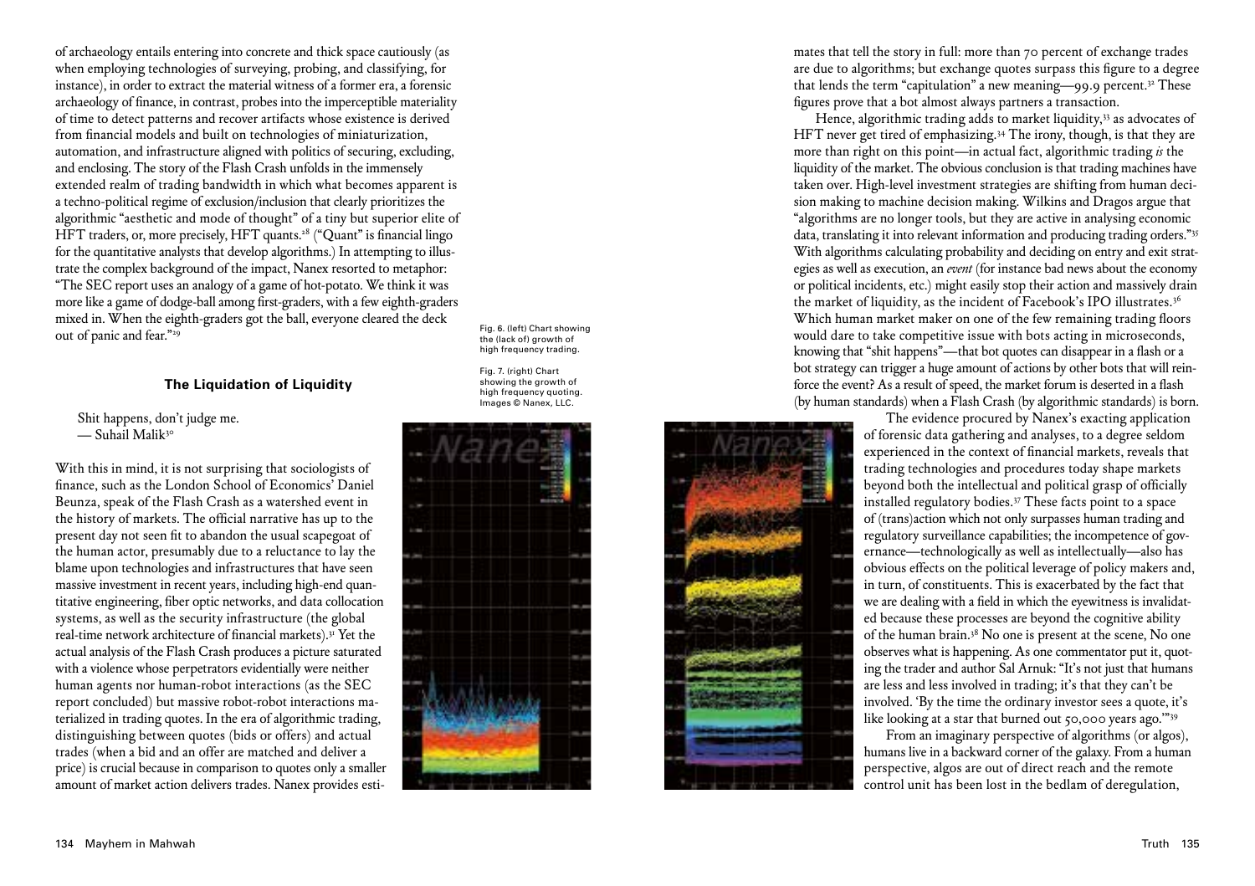of archaeology entails entering into concrete and thick space cautiously (as when employing technologies of surveying, probing, and classifying, for instance), in order to extract the material witness of a former era, a forensic archaeology of finance, in contrast, probes into the imperceptible materiality of time to detect patterns and recover artifacts whose existence is derived from financial models and built on technologies of miniaturization, automation, and infrastructure aligned with politics of securing, excluding, and enclosing. The story of the Flash Crash unfolds in the immensely extended realm of trading bandwidth in which what becomes apparent is a techno-political regime of exclusion/inclusion that clearly prioritizes the algorithmic "aesthetic and mode of thought" of a tiny but superior elite of HFT traders, or, more precisely, HFT quants.<sup>28</sup> ("Quant" is financial lingo for the quantitative analysts that develop algorithms.) In attempting to illustrate the complex background of the impact, Nanex resorted to metaphor: "The SEC report uses an analogy of a game of hot-potato. We think it was more like a game of dodge-ball among first-graders, with a few eighth-graders mixed in. When the eighth-graders got the ball, everyone cleared the deck out of panic and fear."29

#### **The Liquidation of Liquidity**

Shit happens, don't judge me.  $\sim$  Suhail Malik<sup>30</sup>

With this in mind, it is not surprising that sociologists of finance, such as the London School of Economics' Daniel Beunza, speak of the Flash Crash as a watershed event in the history of markets. The official narrative has up to the present day not seen fit to abandon the usual scapegoat of the human actor, presumably due to a reluctance to lay the blame upon technologies and infrastructures that have seen massive investment in recent years, including high-end quantitative engineering, fiber optic networks, and data collocation systems, as well as the security infrastructure (the global real-time network architecture of financial markets).31 Yet the actual analysis of the Flash Crash produces a picture saturated with a violence whose perpetrators evidentially were neither human agents nor human-robot interactions (as the SEC report concluded) but massive robot-robot interactions materialized in trading quotes. In the era of algorithmic trading, distinguishing between quotes (bids or offers) and actual trades (when a bid and an offer are matched and deliver a price) is crucial because in comparison to quotes only a smaller amount of market action delivers trades. Nanex provides esti-

Fig. 6. (left) Chart showing the (lack of) growth of high frequency trading.

Fig. 7. (right) Chart showing the growth of high frequency quoting. Images © Nanex, LLC.



mates that tell the story in full: more than 70 percent of exchange trades are due to algorithms; but exchange quotes surpass this figure to a degree that lends the term "capitulation" a new meaning—99.9 percent.32 These figures prove that a bot almost always partners a transaction.

Hence, algorithmic trading adds to market liquidity,<sup>33</sup> as advocates of HFT never get tired of emphasizing.34 The irony, though, is that they are more than right on this point—in actual fact, algorithmic trading *is* the liquidity of the market. The obvious conclusion is that trading machines have taken over. High-level investment strategies are shifting from human decision making to machine decision making. Wilkins and Dragos argue that "algorithms are no longer tools, but they are active in analysing economic data, translating it into relevant information and producing trading orders."35 With algorithms calculating probability and deciding on entry and exit strategies as well as execution, an *event* (for instance bad news about the economy or political incidents, etc.) might easily stop their action and massively drain the market of liquidity, as the incident of Facebook's IPO illustrates.36 Which human market maker on one of the few remaining trading floors would dare to take competitive issue with bots acting in microseconds, knowing that "shit happens"—that bot quotes can disappear in a flash or a bot strategy can trigger a huge amount of actions by other bots that will reinforce the event? As a result of speed, the market forum is deserted in a flash (by human standards) when a Flash Crash (by algorithmic standards) is born.



The evidence procured by Nanex's exacting application of forensic data gathering and analyses, to a degree seldom experienced in the context of financial markets, reveals that trading technologies and procedures today shape markets beyond both the intellectual and political grasp of officially installed regulatory bodies.37 These facts point to a space of (trans)action which not only surpasses human trading and regulatory surveillance capabilities; the incompetence of governance—technologically as well as intellectually—also has obvious effects on the political leverage of policy makers and, in turn, of constituents. This is exacerbated by the fact that we are dealing with a field in which the eyewitness is invalidated because these processes are beyond the cognitive ability of the human brain.38 No one is present at the scene, No one observes what is happening. As one commentator put it, quoting the trader and author Sal Arnuk: "It's not just that humans are less and less involved in trading; it's that they can't be involved. 'By the time the ordinary investor sees a quote, it's like looking at a star that burned out 50,000 years ago."<sup>39</sup>

From an imaginary perspective of algorithms (or algos), humans live in a backward corner of the galaxy. From a human perspective, algos are out of direct reach and the remote control unit has been lost in the bedlam of deregulation,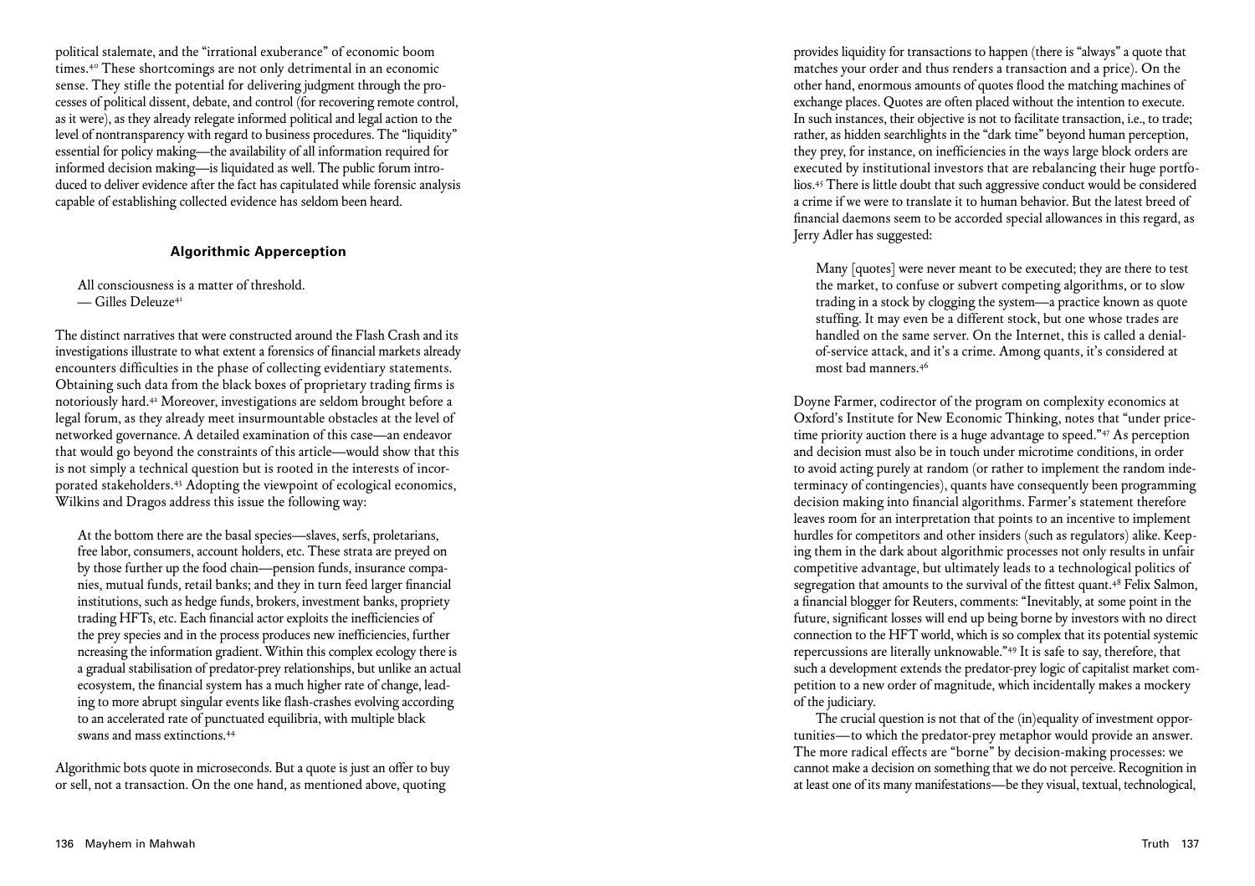political stalemate, and the "irrational exuberance" of economic boom times.40 These shortcomings are not only detrimental in an economic sense. They stifle the potential for delivering judgment through the pro cesses of political dissent, debate, and control (for recovering remote control, as it were), as they already relegate informed political and legal action to the level of nontransparency with regard to business procedures. The "liquidity" essential for policy making—the availability of all information required for informed decision making—is liquidated as well. The public forum intro duced to deliver evidence after the fact has capitulated while forensic analysis capable of establishing collected evidence has seldom been heard.

# **Algorithmic Apperception**

All consciousness is a matter of threshold.  $\overline{\phantom{a}}$  Gilles Deleuze<sup>41</sup>

The distinct narratives that were constructed around the Flash Crash and its investigations illustrate to what extent a forensics of financial markets already encounters difficulties in the phase of collecting evidentiary statements. Obtaining such data from the black boxes of proprietary trading firms is notoriously hard.42 Moreover, investigations are seldom brought before a legal forum, as they already meet insurmountable obstacles at the level of networked governance. A detailed examination of this case—an endeavor that would go beyond the constraints of this article—would show that this is not simply a technical question but is rooted in the interests of incor porated stakeholders.43 Adopting the viewpoint of ecological economics, Wilkins and Dragos address this issue the following way:

At the bottom there are the basal species—slaves, serfs, proletarians, free labor, consumers, account holders, etc. These strata are preyed on by those further up the food chain—pension funds, insurance compa nies, mutual funds, retail banks; and they in turn feed larger financial institutions, such as hedge funds, brokers, investment banks, propriety trading HFTs, etc. Each financial actor exploits the inefficiencies of the prey species and in the process produces new inefficiencies, further ncreasing the information gradient. Within this complex ecology there is a gradual stabilisation of predator-prey relationships, but unlike an actual ecosystem, the financial system has a much higher rate of change, lead ing to more abrupt singular events like flash-crashes evolving according to an accelerated rate of punctuated equilibria, with multiple black swans and mass extinctions.44

Algorithmic bots quote in microseconds. But a quote is just an offer to buy or sell, not a transaction. On the one hand, as mentioned above, quoting

provides liquidity for transactions to happen (there is "always" a quote that matches your order and thus renders a transaction and a price). On the other hand, enormous amounts of quotes flood the matching machines of exchange places. Quotes are often placed without the intention to execute. In such instances, their objective is not to facilitate transaction, i.e., to trade; rather, as hidden searchlights in the "dark time" beyond human perception, they prey, for instance, on inefficiencies in the ways large block orders are executed by institutional investors that are rebalancing their huge portfolios.45 There is little doubt that such aggressive conduct would be considered a crime if we were to translate it to human behavior. But the latest breed of financial daemons seem to be accorded special allowances in this regard, as Jerry Adler has suggested:

Many [quotes] were never meant to be executed; they are there to test the market, to confuse or subvert competing algorithms, or to slow trading in a stock by clogging the system—a practice known as quote stuffing. It may even be a different stock, but one whose trades are handled on the same server. On the Internet, this is called a denialof-service attack, and it's a crime. Among quants, it's considered at most bad manners.46

Doyne Farmer, codirector of the program on complexity economics at Oxford's Institute for New Economic Thinking, notes that "under pricetime priority auction there is a huge advantage to speed."<sup>47</sup> As perception and decision must also be in touch under microtime conditions, in order to avoid acting purely at random (or rather to implement the random inde terminacy of contingencies), quants have consequently been programming decision making into financial algorithms. Farmer's statement therefore leaves room for an interpretation that points to an incentive to implement hurdles for competitors and other insiders (such as regulators) alike. Keep ing them in the dark about algorithmic processes not only results in unfair competitive advantage, but ultimately leads to a technological politics of segregation that amounts to the survival of the fittest quant.<sup>48</sup> Felix Salmon, a financial blogger for Reuters, comments: "Inevitably, at some point in the future, significant losses will end up being borne by investors with no direct connection to the HFT world, which is so complex that its potential systemic repercussions are literally unknowable."49 It is safe to say, therefore, that such a development extends the predator-prey logic of capitalist market com petition to a new order of magnitude, which incidentally makes a mockery of the judiciary.

The crucial question is not that of the (in)equality of investment opportunities—to which the predator-prey metaphor would provide an answer. The more radical effects are "borne" by decision-making processes: we cannot make a decision on something that we do not perceive. Recognition in at least one of its many manifestations —be they visual, textual, technological,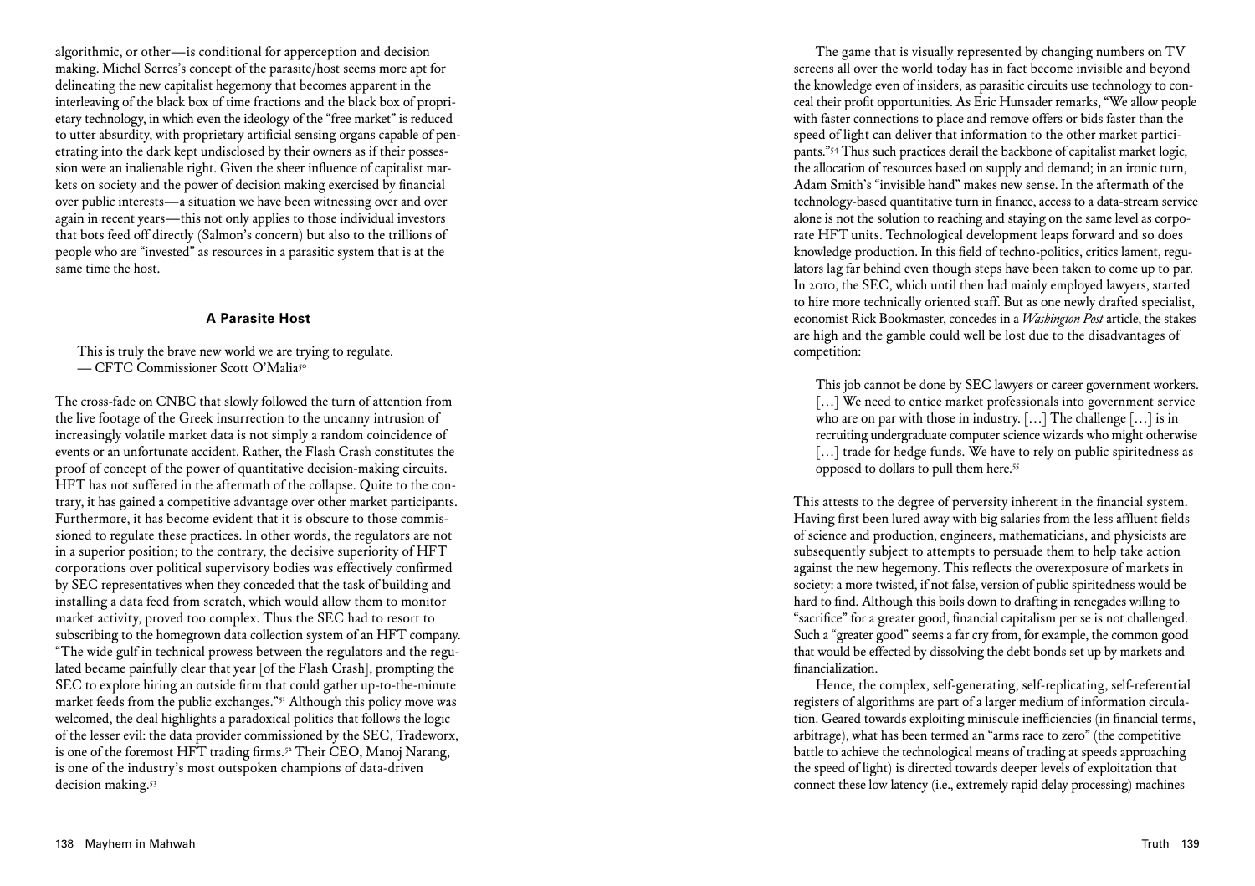algorithmic, or other —is conditional for apperception and decision making. Michel Serres's concept of the parasite/host seems more apt for delineating the new capitalist hegemony that becomes apparent in the interleaving of the black box of time fractions and the black box of propri etary technology, in which even the ideology of the "free market" is reduced to utter absurdity, with proprietary artificial sensing organs capable of pen etrating into the dark kept undisclosed by their owners as if their posses sion were an inalienable right. Given the sheer influence of capitalist mar kets on society and the power of decision making exercised by financial over public interests —a situation we have been witnessing over and over again in recent years —this not only applies to those individual investors that bots feed off directly (Salmon's concern) but also to the trillions of people who are "invested" as resources in a parasitic system that is at the same time the host.

## **A Parasite Host**

This is truly the brave new world we are trying to regulate. — CFTC Commissioner Scott O'Malia50

The cross-fade on CNBC that slowly followed the turn of attention from the live footage of the Greek insurrection to the uncanny intrusion of increasingly volatile market data is not simply a random coincidence of events or an unfortunate accident. Rather, the Flash Crash constitutes the proof of concept of the power of quantitative decision-making circuits. HFT has not suffered in the aftermath of the collapse. Quite to the con trary, it has gained a competitive advantage over other market participants. Furthermore, it has become evident that it is obscure to those commis sioned to regulate these practices. In other words, the regulators are not in a superior position; to the contrary, the decisive superiority of HFT corporations over political supervisory bodies was effectively confirmed by SEC representatives when they conceded that the task of building and installing a data feed from scratch, which would allow them to monitor market activity, proved too complex. Thus the SEC had to resort to subscribing to the homegrown data collection system of an HFT company. "The wide gulf in technical prowess between the regulators and the regu lated became painfully clear that year [of the Flash Crash], prompting the SEC to explore hiring an outside firm that could gather up-to-the-minute market feeds from the public exchanges."<sup>51</sup> Although this policy move was welcomed, the deal highlights a paradoxical politics that follows the logic of the lesser evil: the data provider commissioned by the SEC, Tradeworx, is one of the foremost HFT trading firms.<sup>52</sup> Their CEO, Manoj Narang, is one of the industry's most outspoken champions of data-driven decision making.<sup>53</sup>

The game that is visually represented by changing numbers on TV screens all over the world today has in fact become invisible and beyond the knowledge even of insiders, as parasitic circuits use technology to con ceal their profit opportunities. As Eric Hunsader remarks, "We allow people with faster connections to place and remove offers or bids faster than the speed of light can deliver that information to the other market partici pants."54 Thus such practices derail the backbone of capitalist market logic, the allocation of resources based on supply and demand; in an ironic turn, Adam Smith's "invisible hand" makes new sense. In the aftermath of the technology-based quantitative turn in finance, access to a data-stream service alone is not the solution to reaching and staying on the same level as corpo rate HFT units. Technological development leaps forward and so does knowledge production. In this field of techno-politics, critics lament, regu lators lag far behind even though steps have been taken to come up to par. In 2010, the SEC, which until then had mainly employed lawyers, started to hire more technically oriented staff. But as one newly drafted specialist, economist Rick Bookmaster, concedes in a *Washington Post* article, the stakes are high and the gamble could well be lost due to the disadvantages of competition:

This job cannot be done by SEC lawyers or career government workers. [...] We need to entice market professionals into government service who are on par with those in industry. […] The challenge […] is in recruiting undergraduate computer science wizards who might otherwise [...] trade for hedge funds. We have to rely on public spiritedness as opposed to dollars to pull them here.55

This attests to the degree of perversity inherent in the financial system. Having first been lured away with big salaries from the less affluent fields of science and production, engineers, mathematicians, and physicists are subsequently subject to attempts to persuade them to help take action against the new hegemony. This reflects the overexposure of markets in society: a more twisted, if not false, version of public spiritedness would be hard to find. Although this boils down to drafting in renegades willing to "sacrifice" for a greater good, financial capitalism per se is not challenged. Such a "greater good" seems a far cry from, for example, the common good that would be effected by dissolving the debt bonds set up by markets and financialization.

Hence, the complex, self-generating, self-replicating, self-referential registers of algorithms are part of a larger medium of information circula tion. Geared towards exploiting miniscule inefficiencies (in financial terms, arbitrage), what has been termed an "arms race to zero" (the competitive battle to achieve the technological means of trading at speeds approaching the speed of light) is directed towards deeper levels of exploitation that connect these low latency (i.e., extremely rapid delay processing) machines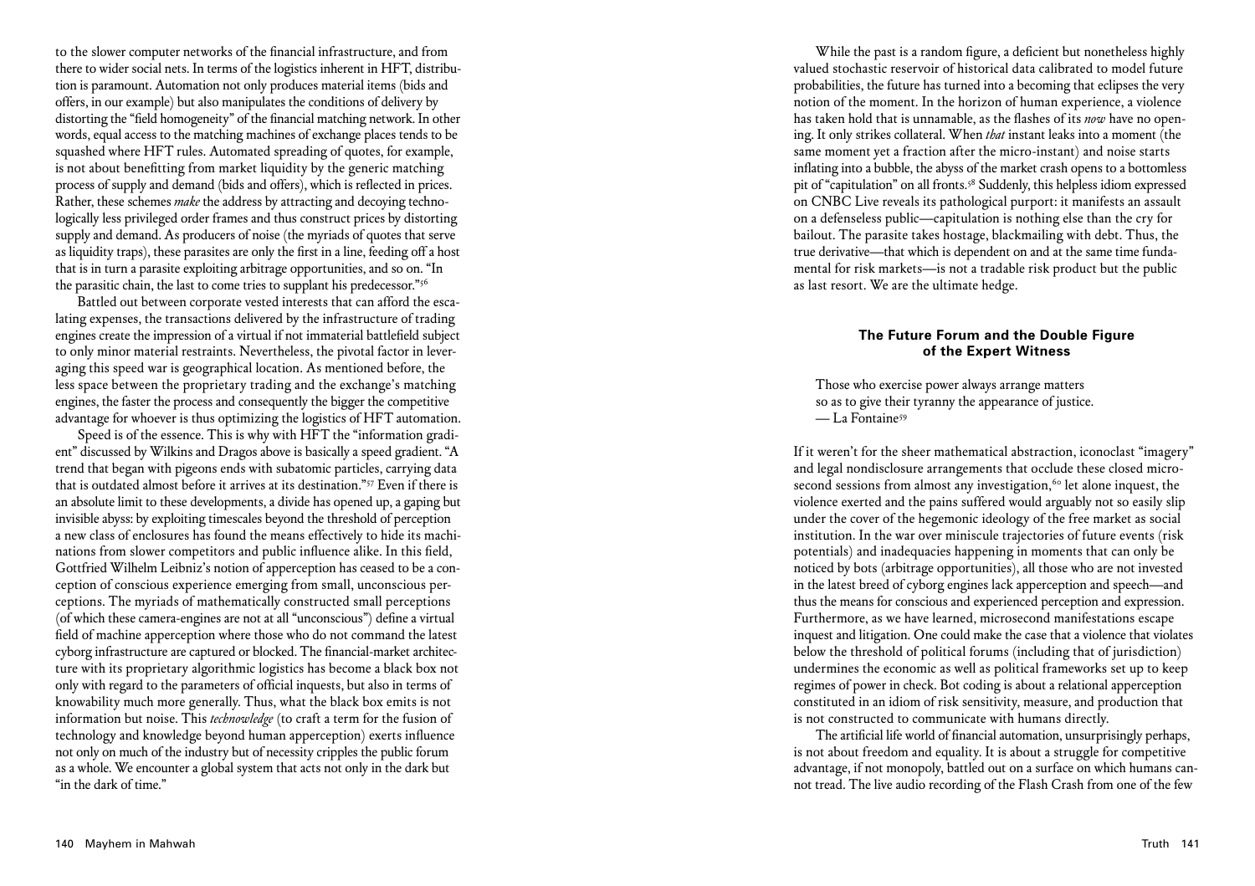to the slower computer networks of the financial infrastructure, and from there to wider social nets. In terms of the logistics inherent in HFT, distribu tion is paramount. Automation not only produces material items (bids and offers, in our example) but also manipulates the conditions of delivery by distorting the "field homogeneity" of the financial matching network. In other words, equal access to the matching machines of exchange places tends to be squashed where HFT rules. Automated spreading of quotes, for example, is not about benefitting from market liquidity by the generic matching process of supply and demand (bids and offers), which is reflected in prices. Rather, these schemes *make* the address by attracting and decoying techno logically less privileged order frames and thus construct prices by distorting supply and demand. As producers of noise (the myriads of quotes that serve as liquidity traps), these parasites are only the first in a line, feeding off a host that is in turn a parasite exploiting arbitrage opportunities, and so on. "In the parasitic chain, the last to come tries to supplant his predecessor."56

Battled out between corporate vested interests that can afford the esca lating expenses, the transactions delivered by the infrastructure of trading engines create the impression of a virtual if not immaterial battlefield subject to only minor material restraints. Nevertheless, the pivotal factor in lever aging this speed war is geographical location. As mentioned before, the less space between the proprietary trading and the exchange's matching engines, the faster the process and consequently the bigger the competitive advantage for whoever is thus optimizing the logistics of HFT automation.

Speed is of the essence. This is why with HFT the "information gradi ent" discussed by Wilkins and Dragos above is basically a speed gradient. "A trend that began with pigeons ends with subatomic particles, carrying data that is outdated almost before it arrives at its destination."57 Even if there is an absolute limit to these developments, a divide has opened up, a gaping but invisible abyss: by exploiting timescales beyond the threshold of perception a new class of enclosures has found the means effectively to hide its machi nations from slower competitors and public influence alike. In this field, Gottfried Wilhelm Leibniz's notion of apperception has ceased to be a con ception of conscious experience emerging from small, unconscious per ceptions. The myriads of mathematically constructed small perceptions (of which these camera-engines are not at all "unconscious") define a virtual field of machine apperception where those who do not command the latest cyborg infrastructure are captured or blocked. The financial-market architecture with its proprietary algorithmic logistics has become a black box not only with regard to the parameters of official inquests, but also in terms of knowability much more generally. Thus, what the black box emits is not information but noise. This *technowledge* (to craft a term for the fusion of technology and knowledge beyond human apperception) exerts influence not only on much of the industry but of necessity cripples the public forum as a whole. We encounter a global system that acts not only in the dark but "in the dark of time."

While the past is a random figure, a deficient but nonetheless highly valued stochastic reservoir of historical data calibrated to model future probabilities, the future has turned into a becoming that eclipses the very notion of the moment. In the horizon of human experience, a violence has taken hold that is unnamable, as the flashes of its *now* have no open ing. It only strikes collateral. When *that* instant leaks into a moment (the same moment yet a fraction after the micro-instant) and noise starts inflating into a bubble, the abyss of the market crash opens to a bottomless pit of "capitulation" on all fronts.58 Suddenly, this helpless idiom expressed on CNBC Live reveals its pathological purport: it manifests an assault on a defenseless public—capitulation is nothing else than the cry for bailout. The parasite takes hostage, blackmailing with debt. Thus, the true derivative—that which is dependent on and at the same time funda mental for risk markets—is not a tradable risk product but the public as last resort. We are the ultimate hedge.

# **The Future Forum and the Double Figure of the Expert Witness**

Those who exercise power always arrange matters so as to give their tyranny the appearance of justice. — La Fontaine59

If it weren't for the sheer mathematical abstraction, iconoclast "imagery" and legal nondisclosure arrangements that occlude these closed micro second sessions from almost any investigation,  $60$  let alone inquest, the violence exerted and the pains suffered would arguably not so easily slip under the cover of the hegemonic ideology of the free market as social institution. In the war over miniscule trajectories of future events (risk potentials) and inadequacies happening in moments that can only be noticed by bots (arbitrage opportunities), all those who are not invested in the latest breed of cyborg engines lack apperception and speech—and thus the means for conscious and experienced perception and expression. Furthermore, as we have learned, microsecond manifestations escape inquest and litigation. One could make the case that a violence that violates below the threshold of political forums (including that of jurisdiction) undermines the economic as well as political frameworks set up to keep regimes of power in check. Bot coding is about a relational apperception constituted in an idiom of risk sensitivity, measure, and production that is not constructed to communicate with humans directly.

The artificial life world of financial automation, unsurprisingly perhaps, is not about freedom and equality. It is about a struggle for competitive advantage, if not monopoly, battled out on a surface on which humans can not tread. The live audio recording of the Flash Crash from one of the few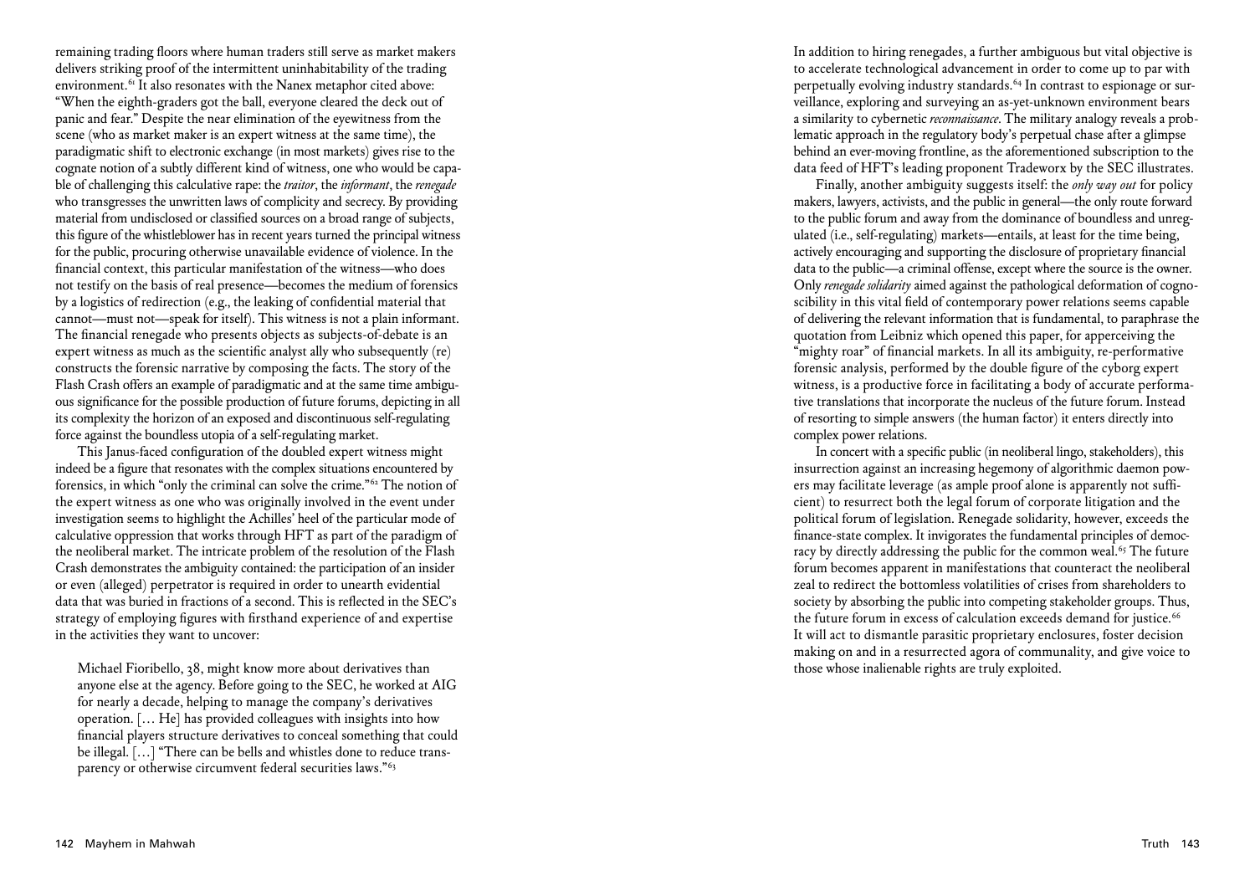remaining trading floors where human traders still serve as market makers delivers striking proof of the intermittent uninhabitability of the trading environment.<sup>61</sup> It also resonates with the Nanex metaphor cited above: "When the eighth-graders got the ball, everyone cleared the deck out of panic and fear." Despite the near elimination of the eyewitness from the scene (who as market maker is an expert witness at the same time), the paradigmatic shift to electronic exchange (in most markets) gives rise to the cognate notion of a subtly different kind of witness, one who would be capa ble of challenging this calculative rape: the *traitor*, the *informant*, the *renegade* who transgresses the unwritten laws of complicity and secrecy. By providing material from undisclosed or classified sources on a broad range of subjects, this figure of the whistleblower has in recent years turned the principal witness for the public, procuring otherwise unavailable evidence of violence. In the financial context, this particular manifestation of the witness—who does not testify on the basis of real presence—becomes the medium of forensics by a logistics of redirection (e.g., the leaking of confidential material that cannot—must not—speak for itself). This witness is not a plain informant. The financial renegade who presents objects as subjects-of-debate is an expert witness as much as the scientific analyst ally who subsequently (re) constructs the forensic narrative by composing the facts. The story of the Flash Crash offers an example of paradigmatic and at the same time ambigu ous significance for the possible production of future forums, depicting in all its complexity the horizon of an exposed and discontinuous self-regulating force against the boundless utopia of a self-regulating market.

This Janus-faced configuration of the doubled expert witness might indeed be a figure that resonates with the complex situations encountered by forensics, in which "only the criminal can solve the crime."62 The notion of the expert witness as one who was originally involved in the event under investigation seems to highlight the Achilles' heel of the particular mode of calculative oppression that works through HFT as part of the paradigm of the neoliberal market. The intricate problem of the resolution of the Flash Crash demonstrates the ambiguity contained: the participation of an insider or even (alleged) perpetrator is required in order to unearth evidential data that was buried in fractions of a second. This is reflected in the SEC's strategy of employing figures with firsthand experience of and expertise in the activities they want to uncover:

Michael Fioribello, 38, might know more about derivatives than anyone else at the agency. Before going to the SEC, he worked at AIG for nearly a decade, helping to manage the company's derivatives operation. [… He] has provided colleagues with insights into how financial players structure derivatives to conceal something that could be illegal. […] "There can be bells and whistles done to reduce trans parency or otherwise circumvent federal securities laws."63

In addition to hiring renegades, a further ambiguous but vital objective is to accelerate technological advancement in order to come up to par with perpetually evolving industry standards.<sup>64</sup> In contrast to espionage or surveillance, exploring and surveying an as-yet-unknown environment bears a similarity to cybernetic *reconnaissance*. The military analogy reveals a prob lematic approach in the regulatory body's perpetual chase after a glimpse behind an ever-moving frontline, as the aforementioned subscription to the data feed of HFT's leading proponent Tradeworx by the SEC illustrates.

Finally, another ambiguity suggests itself: the *only way out* for policy makers, lawyers, activists, and the public in general—the only route forward to the public forum and away from the dominance of boundless and unreg ulated (i.e., self-regulating) markets—entails, at least for the time being, actively encouraging and supporting the disclosure of proprietary financial data to the public—a criminal offense, except where the source is the owner. Only *renegade solidarity* aimed against the pathological deformation of cogno scibility in this vital field of contemporary power relations seems capable of delivering the relevant information that is fundamental, to paraphrase the quotation from Leibniz which opened this paper, for apperceiving the "mighty roar" of financial markets. In all its ambiguity, re-performative forensic analysis, performed by the double figure of the cyborg expert witness, is a productive force in facilitating a body of accurate performa tive translations that incorporate the nucleus of the future forum. Instead of resorting to simple answers (the human factor) it enters directly into complex power relations.

In concert with a specific public (in neoliberal lingo, stakeholders), this insurrection against an increasing hegemony of algorithmic daemon pow ers may facilitate leverage (as ample proof alone is apparently not suffi cient) to resurrect both the legal forum of corporate litigation and the political forum of legislation. Renegade solidarity, however, exceeds the finance-state complex. It invigorates the fundamental principles of democracy by directly addressing the public for the common weal.<sup>65</sup> The future forum becomes apparent in manifestations that counteract the neoliberal zeal to redirect the bottomless volatilities of crises from shareholders to society by absorbing the public into competing stakeholder groups. Thus, the future forum in excess of calculation exceeds demand for justice.<sup>66</sup> It will act to dismantle parasitic proprietary enclosures, foster decision making on and in a resurrected agora of communality, and give voice to those whose inalienable rights are truly exploited.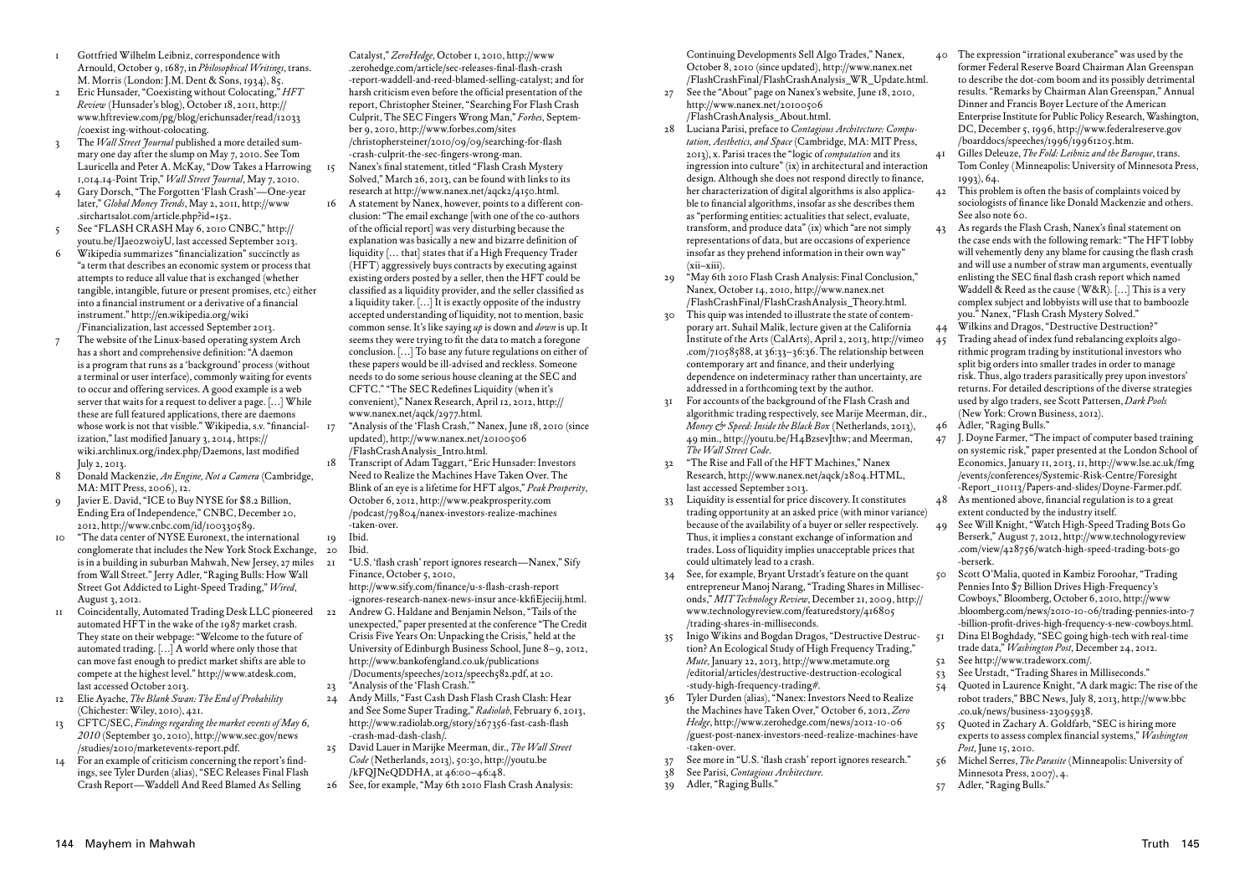- 1 Gottfried Wilhelm Leibniz, correspondence with Arnould, October 9, 1687, in *Philosophical Writings*, trans. M. Morris (London: J.M. Dent & Sons, 1934), 85.
- 2 Eric Hunsader, "Coexisting without Colocating," *HFT Review* (Hunsader's blog), October 18, 2011, http:// www.hftreview.com/pg/blog/erichunsader/read/12033 /coexist ing-without-colocating.
- 3 The *Wall Street Journal* published a more detailed summary one day after the slump on May 7, 2010. See Tom Lauricella and Peter A. McKay, "Dow Takes a Harrowing 1,014.14-Point Trip," *Wall Street Journal*, May 7, 2010.
- 4 Gary Dorsch, "The Forgotten 'Flash Crash'—One-year later," *Global Money Trends*, May 2, 2011, http://www .sirchartsalot.com/article.php?id=152.
- 5 See "FLASH CRASH May 6, 2010 CNBC," http:// youtu.be/IJae0zw0iyU, last accessed September 2013.
- 6 Wikipedia summarizes "financialization" succinctly as "a term that describes an economic system or process that attempts to reduce all value that is exchanged (whether tangible, intangible, future or present promises, etc.) either into a financial instrument or a derivative of a financial instrument." http://en.wikipedia.org/wiki /Financialization, last accessed September 2013.
- 7 The website of the Linux-based operating system Arch has a short and comprehensive definition: "A daemon is a program that runs as a 'background' process (without a terminal or user interface), commonly waiting for events to occur and offering services. A good example is a web server that waits for a request to deliver a page. […] While these are full featured applications, there are daemons whose work is not that visible." Wikipedia, s.v. "financialization," last modified January 3, 2014, https:// wiki.archlinux.org/index.php/Daemons, last modified July 2, 2013.
- 8 Donald Mackenzie, *An Engine, Not a Camera* (Cambridge, MA: MIT Press, 2006), 12.
- 9 Javier E. David, "ICE to Buy NYSE for \$8.2 Billion, Ending Era of Independence," CNBC, December 20, 2012, http://www.cnbc.com/id/100330589.
- 10 "The data center of NYSE Euronext, the international conglomerate that includes the New York Stock Exchange, is in a building in suburban Mahwah, New Jersey, 27 miles from Wall Street." Jerry Adler, "Raging Bulls: How Wall Street Got Addicted to Light-Speed Trading," *Wired*, August 3, 2012.
- 11 Coincidentally, Automated Trading Desk LLC pioneered 22 automated HFT in the wake of the 1987 market crash. They state on their webpage: "Welcome to the future of automated trading. […] A world where only those that can move fast enough to predict market shifts are able to compete at the highest level." http://www.atdesk.com, last accessed October 2013.
- 12 Elie Ayache, *The Blank Swan: The End of Probability* (Chichester: Wiley, 2010), 421.
- 13 CFTC/SEC, *Findings regarding the market events of May 6, 2010* (September 30, 2010), http://www.sec.gov/news /studies/2010/marketevents-report.pdf.
- 14 For an example of criticism concerning the report's findings, see Tyler Durden (alias), "SEC Releases Final Flash Crash Report—Waddell And Reed Blamed As Selling

Catalyst," *ZeroHedge*, October 1, 2010, http://www .zerohedge.com/article/sec-releases-final-flash-crash -report-waddell-and-reed-blamed-selling-catalyst; and for harsh criticism even before the official presentation of the report, Christopher Steiner, "Searching For Flash Crash Culprit, The SEC Fingers Wrong Man," *Forbes*, September 9, 2010, http://www.forbes.com/sites /christophersteiner/2010/09/09/searching-for-flash -crash-culprit-the-sec-fingers-wrong-man. Nanex's final statement, titled "Flash Crash Mystery Solved," March 26, 2013, can be found with links to its research at http://www.nanex.net/aqck2/4150.html. 16 A statement by Nanex, however, points to a different conclusion: "The email exchange [with one of the co-authors of the official report] was very disturbing because the explanation was basically a new and bizarre definition of liquidity [… that] states that if a High Frequency Trader (HFT) aggressively buys contracts by executing against existing orders posted by a seller, then the HFT could be classified as a liquidity provider, and the seller classified as a liquidity taker. […] It is exactly opposite of the industry accepted understanding of liquidity, not to mention, basic common sense. It's like saying *up* is down and *down* is up. It seems they were trying to fit the data to match a foregone conclusion. […] To base any future regulations on either of these papers would be ill-advised and reckless. Someone needs to do some serious house cleaning at the SEC and CFTC." "The SEC Redefines Liquidity (when it's convenient)," Nanex Research, April 12, 2012, http:// www.nanex.net/aqck/2977.html.

- 17 "Analysis of the 'Flash Crash,'" Nanex, June 18, 2010 (since updated), http://www.nanex.net/20100506 /FlashCrashAnalysis\_Intro.html.
- 18 Transcript of Adam Taggart, "Eric Hunsader: Investors Need to Realize the Machines Have Taken Over. The Blink of an eye is a lifetime for HFT algos," *Peak Prosperity*, October 6, 2012, http://www.peakprosperity.com /podcast/79804/nanex-investors-realize-machines -taken-over.
- 19 Ibid. Ibid.
- 21 "U.S. 'flash crash' report ignores research—Nanex," Sify Finance, October 5, 2010,
- http://www.sify.com/finance/u-s-flash-crash-report -ignores-research-nanex-news-insur ance-kkfiEjeciij.html.
- Andrew G. Haldane and Benjamin Nelson, "Tails of the unexpected," paper presented at the conference "The Credit Crisis Five Years On: Unpacking the Crisis," held at the University of Edinburgh Business School, June 8–9, 2012, http://www.bankofengland.co.uk/publications /Documents/speeches/2012/speech582.pdf, at 20. 23 "Analysis of the 'Flash Crash.'"
- 24 Andy Mills, "Fast Cash Dash Flash Crash Clash: Hear and See Some Super Trading," *Radiolab*, February 6, 2013, http://www.radiolab.org/story/267356-fast-cash-flash -crash-mad-dash-clash/.
- 25 David Lauer in Marijke Meerman, dir., *The Wall Street Code* (Netherlands, 2013), 50:30, http://youtu.be /kFQJNeQDDHA, at 46:00–46:48.
- 26 See, for example, "May 6th 2010 Flash Crash Analysis:

Continuing Developments Sell Algo Trades," Nanex, October 8, 2010 (since updated), http://www.nanex.net /FlashCrashFinal/FlashCrashAnalysis\_WR\_Update.html.

- 27 See the "About" page on Nanex's website, June 18, 2010, http://www.nanex.net/20100506 /FlashCrashAnalysis\_About.html.
- 28 Luciana Parisi, preface to *Contagious Architecture: Computation, Aesthetics, and Space* (Cambridge, MA: MIT Press, 2013), x. Parisi traces the "logic of *computation* and its ingression into culture" (ix) in architectural and interaction design. Although she does not respond directly to finance, her characterization of digital algorithms is also applicable to financial algorithms, insofar as she describes them as "performing entities: actualities that select, evaluate, transform, and produce data" (ix) which "are not simply representations of data, but are occasions of experience insofar as they prehend information in their own way" (xii–xiii).
- 29 "May 6th 2010 Flash Crash Analysis: Final Conclusion," Nanex, October 14, 2010, http://www.nanex.net /FlashCrashFinal/FlashCrashAnalysis\_Theory.html.
- 30 This quip was intended to illustrate the state of contemporary art. Suhail Malik, lecture given at the California Institute of the Arts (CalArts), April 2, 2013, http://vimeo .com/71058588, at  $36:33-36:36$ . The relationship between contemporary art and finance, and their underlying dependence on indeterminacy rather than uncertainty, are addressed in a forthcoming text by the author.
- 31 For accounts of the background of the Flash Crash and algorithmic trading respectively, see Marije Meerman, dir., *Money & Speed: Inside the Black Box* (Netherlands, 2013), 49 min., http://youtu.be/H4BzsevJthw; and Meerman, *The Wall Street Code*.
- 32 "The Rise and Fall of the HFT Machines," Nanex Research, http://www.nanex.net/aqck/2804.HTML, last accessed September 2013.
- 33 Liquidity is essential for price discovery. It constitutes trading opportunity at an asked price (with minor variance) because of the availability of a buyer or seller respectively. Thus, it implies a constant exchange of information and trades. Loss of liquidity implies unacceptable prices that could ultimately lead to a crash.
- See, for example, Bryant Urstadt's feature on the quant entrepreneur Manoj Narang, "Trading Shares in Milliseconds," *MIT Technology Review*, December 21, 2009, http:// www.technologyreview.com/featuredstory/416805 /trading-shares-in-milliseconds.
- 35 Inigo Wikins and Bogdan Dragos, "Destructive Destruction? An Ecological Study of High Frequency Trading," *Mute*, January 22, 2013, http://www.metamute.org /editorial/articles/destructive-destruction-ecological -study-high-frequency-trading#.
- 36 Tyler Durden (alias), "Nanex: Investors Need to Realize the Machines have Taken Over," October 6, 2012, *Zero Hedge*, http://www.zerohedge.com/news/2012-10-06 /guest-post-nanex-investors-need-realize-machines-have -taken-over.
- 37 See more in "U.S. 'flash crash' report ignores research."
- 38 See Parisi, *Contagious Architecture.*
- 39 Adler, "Raging Bulls."
- 40 The expression "irrational exuberance" was used by the former Federal Reserve Board Chairman Alan Greenspan to describe the dot-com boom and its possibly detrimental results. "Remarks by Chairman Alan Greenspan," Annual Dinner and Francis Boyer Lecture of the American Enterprise Institute for Public Policy Research, Washington, DC, December 5, 1996, http://www.federalreserve.gov /boarddocs/speeches/1996/19961205.htm.
- 41 Gilles Deleuze, *The Fold: Leibniz and the Baroque*, trans. Tom Conley (Minneapolis: University of Minnesota Press, 1993), 64.
- 42 This problem is often the basis of complaints voiced by sociologists of finance like Donald Mackenzie and others. See also note 60.
- 43 As regards the Flash Crash, Nanex's final statement on the case ends with the following remark: "The HFT lobby will vehemently deny any blame for causing the flash crash and will use a number of straw man arguments, eventually enlisting the SEC final flash crash report which named Waddell & Reed as the cause (W&R). […] This is a very complex subject and lobbyists will use that to bamboozle you." Nanex, "Flash Crash Mystery Solved."
- 44 Wilkins and Dragos, "Destructive Destruction?" 45 Trading ahead of index fund rebalancing exploits algorithmic program trading by institutional investors who split big orders into smaller trades in order to manage risk. Thus, algo traders parasitically prey upon investors' returns. For detailed descriptions of the diverse strategies used by algo traders, see Scott Pattersen, *Dark Pools* (New York: Crown Business, 2012).
- 46 Adler, "Raging Bulls."
- 47 J. Doyne Farmer, "The impact of computer based training on systemic risk," paper presented at the London School of Economics, January 11, 2013, 11, http://www.lse.ac.uk/fmg /events/conferences/Systemic-Risk-Centre/Foresight -Report\_110113/Papers-and-slides/Doyne-Farmer.pdf.
- 48 As mentioned above, financial regulation is to a great extent conducted by the industry itself.
- 49 See Will Knight, "Watch High-Speed Trading Bots Go Berserk," August 7, 2012, http://www.technologyreview .com/view/428756/watch-high-speed-trading-bots-go -berserk.
- 50 Scott O'Malia, quoted in Kambiz Foroohar, "Trading Pennies Into \$7 Billion Drives High-Frequency's Cowboys," Bloomberg, October 6, 2010, http://www .bloomberg.com/news/2010-10-06/trading-pennies-into-7 -billion-profit-drives-high-frequency-s-new-cowboys.html.
- 51 Dina El Boghdady, "SEC going high-tech with real-time trade data," *Washington Post*, December 24, 2012.
- 52 See http://www.tradeworx.com/. 53 See Urstadt, "Trading Shares in Milliseconds."
- 54 Quoted in Laurence Knight, "A dark magic: The rise of the robot traders," BBC News, July 8, 2013, http://www.bbc .co.uk/news/business-23095938.
- 55 Quoted in Zachary A. Goldfarb, "SEC is hiring more experts to assess complex financial systems," *Washington Post*, June 15, 2010.
- 56 Michel Serres, *The Parasite* (Minneapolis: University of Minnesota Press, 2007), 4.
- 57 Adler, "Raging Bulls."